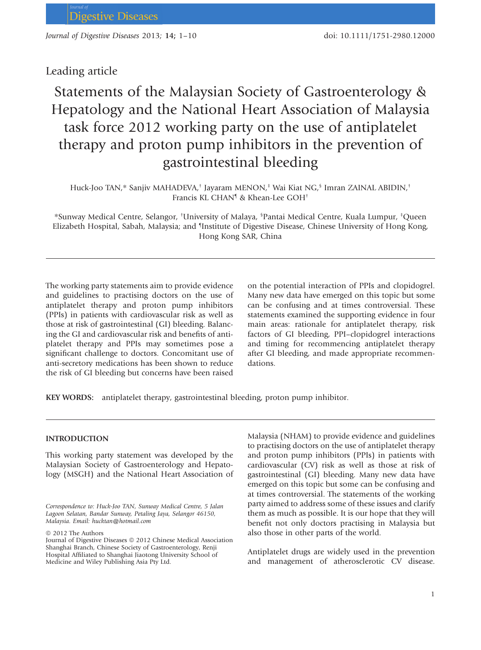*Journal of Digestive Diseases* 2013*;* **14;** 1–10 doi: 10.1111/1751-2980.12000

Leading article

Statements of the Malaysian Society of Gastroenterology & Hepatology and the National Heart Association of Malaysia task force 2012 working party on the use of antiplatelet therapy and proton pump inhibitors in the prevention of gastrointestinal bleeding

Huck-Joo TAN,\* Sanjiv MAHADEVA,† Jayaram MENON,‡ Wai Kiat NG,§ Imran ZAINAL ABIDIN,† Francis KL CHAN<sup>®</sup> & Khean-Lee GOH<sup>+</sup>

\*Sunway Medical Centre, Selangor, † University of Malaya, § Pantai Medical Centre, Kuala Lumpur, ‡ Queen Elizabeth Hospital, Sabah, Malaysia; and <sup>1</sup>Institute of Digestive Disease, Chinese University of Hong Kong, Hong Kong SAR, China

The working party statements aim to provide evidence and guidelines to practising doctors on the use of antiplatelet therapy and proton pump inhibitors (PPIs) in patients with cardiovascular risk as well as those at risk of gastrointestinal (GI) bleeding. Balancing the GI and cardiovascular risk and benefits of antiplatelet therapy and PPIs may sometimes pose a significant challenge to doctors. Concomitant use of anti-secretory medications has been shown to reduce the risk of GI bleeding but concerns have been raised

on the potential interaction of PPIs and clopidogrel. Many new data have emerged on this topic but some can be confusing and at times controversial. These statements examined the supporting evidence in four main areas: rationale for antiplatelet therapy, risk factors of GI bleeding, PPI–clopidogrel interactions and timing for recommencing antiplatelet therapy after GI bleeding, and made appropriate recommendations.

**KEY WORDS:** antiplatelet therapy, gastrointestinal bleeding, proton pump inhibitor.

#### **INTRODUCTION**

This working party statement was developed by the Malaysian Society of Gastroenterology and Hepatology (MSGH) and the National Heart Association of

*Correspondence to: Huck-Joo TAN, Sunway Medical Centre, 5 Jalan Lagoon Selatan, Bandar Sunway, Petaling Jaya, Selangor 46150, Malaysia. Email: hucktan@hotmail.com*

© 2012 The Authors

Journal of Digestive Diseases © 2012 Chinese Medical Association Shanghai Branch, Chinese Society of Gastroenterology, Renji Hospital Affiliated to Shanghai Jiaotong University School of Medicine and Wiley Publishing Asia Pty Ltd.

Malaysia (NHAM) to provide evidence and guidelines to practising doctors on the use of antiplatelet therapy and proton pump inhibitors (PPIs) in patients with cardiovascular (CV) risk as well as those at risk of gastrointestinal (GI) bleeding. Many new data have emerged on this topic but some can be confusing and at times controversial. The statements of the working party aimed to address some of these issues and clarify them as much as possible. It is our hope that they will benefit not only doctors practising in Malaysia but also those in other parts of the world.

Antiplatelet drugs are widely used in the prevention and management of atherosclerotic CV disease.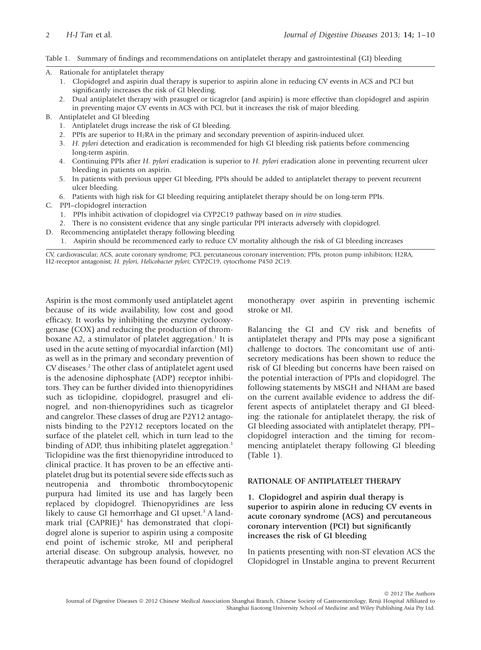Table 1. Summary of findings and recommendations on antiplatelet therapy and gastrointestinal (GI) bleeding

- A. Rationale for antiplatelet therapy
	- 1. Clopidogrel and aspirin dual therapy is superior to aspirin alone in reducing CV events in ACS and PCI but significantly increases the risk of GI bleeding.
	- 2. Dual antiplatelet therapy with prasugrel or ticagrelor (and aspirin) is more effective than clopidogrel and aspirin in preventing major CV events in ACS with PCI, but it increases the risk of major bleeding.
- B. Antiplatelet and GI bleeding
	- 1. Antiplatelet drugs increase the risk of GI bleeding.
	- 2. PPIs are superior to  $H_2RA$  in the primary and secondary prevention of aspirin-induced ulcer.
	- 3. *H. pylori* detection and eradication is recommended for high GI bleeding risk patients before commencing long-term aspirin.
	- 4. Continuing PPIs after *H. pylori* eradication is superior to *H. pylori* eradication alone in preventing recurrent ulcer bleeding in patients on aspirin.
	- 5. In patients with previous upper GI bleeding, PPIs should be added to antiplatelet therapy to prevent recurrent ulcer bleeding.
	- 6. Patients with high risk for GI bleeding requiring antiplatelet therapy should be on long-term PPIs.
- C. PPI–clopidogrel interaction
	- 1. PPIs inhibit activation of clopidogrel via CYP2C19 pathway based on *in vitro* studies.
	- 2. There is no consistent evidence that any single particular PPI interacts adversely with clopidogrel.
- D. Recommencing antiplatelet therapy following bleeding
- 1. Aspirin should be recommenced early to reduce CV mortality although the risk of GI bleeding increases

CV, cardiovascular; ACS, acute coronary syndrome; PCI, percutaneous coronary intervention; PPIs, proton pump inhibitors; H2RA, H2-receptor antagonist; *H. pylori, Helicobacter pylori*; CYP2C19, cytocrhome P450 2C19.

Aspirin is the most commonly used antiplatelet agent because of its wide availability, low cost and good efficacy. It works by inhibiting the enzyme cyclooxygenase (COX) and reducing the production of thromboxane A2, a stimulator of platelet aggregation.<sup>1</sup> It is used in the acute setting of myocardial infarction (MI) as well as in the primary and secondary prevention of CV diseases.2 The other class of antiplatelet agent used is the adenosine diphosphate (ADP) receptor inhibitors. They can be further divided into thienopyridines such as ticlopidine, clopidogrel, prasugrel and elinogrel, and non-thienopyridines such as ticagrelor and cangrelor. These classes of drug are P2Y12 antagonists binding to the P2Y12 receptors located on the surface of the platelet cell, which in turn lead to the binding of ADP, thus inhibiting platelet aggregation.<sup>1</sup> Ticlopidine was the first thienopyridine introduced to clinical practice. It has proven to be an effective antiplatelet drug but its potential severe side effects such as neutropenia and thrombotic thrombocytopenic purpura had limited its use and has largely been replaced by clopidogrel. Thienopyridines are less likely to cause GI hemorrhage and GI upset.<sup>3</sup> A landmark trial  $(CAPRIE)^4$  has demonstrated that clopidogrel alone is superior to aspirin using a composite end point of ischemic stroke, MI and peripheral arterial disease. On subgroup analysis, however, no therapeutic advantage has been found of clopidogrel

monotherapy over aspirin in preventing ischemic stroke or MI.

Balancing the GI and CV risk and benefits of antiplatelet therapy and PPIs may pose a significant challenge to doctors. The concomitant use of antisecretory medications has been shown to reduce the risk of GI bleeding but concerns have been raised on the potential interaction of PPIs and clopidogrel. The following statements by MSGH and NHAM are based on the current available evidence to address the different aspects of antiplatelet therapy and GI bleeding: the rationale for antiplatelet therapy, the risk of GI bleeding associated with antiplatelet therapy, PPI– clopidogrel interaction and the timing for recommencing antiplatelet therapy following GI bleeding (Table 1).

#### **RATIONALE OF ANTIPLATELET THERAPY**

**1. Clopidogrel and aspirin dual therapy is superior to aspirin alone in reducing CV events in acute coronary syndrome (ACS) and percutaneous coronary intervention (PCI) but significantly increases the risk of GI bleeding**

In patients presenting with non-ST elevation ACS the Clopidogrel in Unstable angina to prevent Recurrent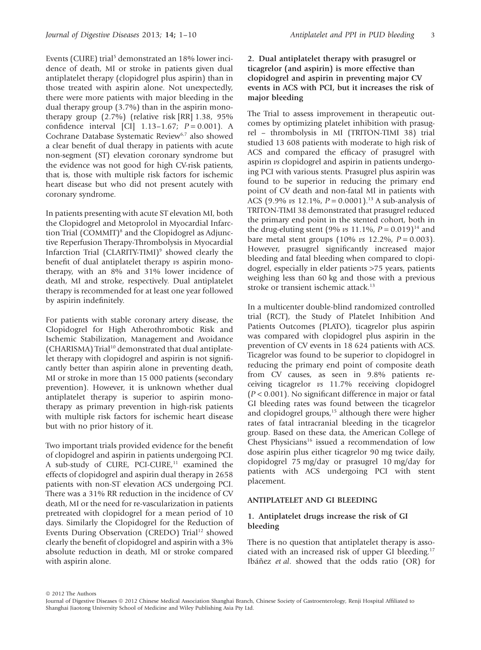Events (CURE) trial<sup>5</sup> demonstrated an  $18\%$  lower incidence of death, MI or stroke in patients given dual antiplatelet therapy (clopidogrel plus aspirin) than in those treated with aspirin alone. Not unexpectedly, there were more patients with major bleeding in the dual therapy group (3.7%) than in the aspirin monotherapy group (2.7%) (relative risk [RR] 1.38, 95% confidence interval [CI] 1.13–1.67; *P* = 0.001). A Cochrane Database Systematic Review<sup>6,7</sup> also showed a clear benefit of dual therapy in patients with acute non-segment (ST) elevation coronary syndrome but the evidence was not good for high CV-risk patients, that is, those with multiple risk factors for ischemic heart disease but who did not present acutely with coronary syndrome.

In patients presenting with acute ST elevation MI, both the Clopidogrel and Metoprolol in Myocardial Infarction Trial  $(COMMIT)^8$  and the Clopidogrel as Adjunctive Reperfusion Therapy-Thrombolysis in Myocardial Infarction Trial (CLARITY-TIMI)<sup>9</sup> showed clearly the benefit of dual antiplatelet therapy *vs* aspirin monotherapy, with an 8% and 31% lower incidence of death, MI and stroke, respectively. Dual antiplatelet therapy is recommended for at least one year followed by aspirin indefinitely.

For patients with stable coronary artery disease, the Clopidogrel for High Atherothrombotic Risk and Ischemic Stabilization, Management and Avoidance (CHARISMA) Trial<sup>10</sup> demonstrated that dual antiplatelet therapy with clopidogrel and aspirin is not significantly better than aspirin alone in preventing death, MI or stroke in more than 15 000 patients (secondary prevention). However, it is unknown whether dual antiplatelet therapy is superior to aspirin monotherapy as primary prevention in high-risk patients with multiple risk factors for ischemic heart disease but with no prior history of it.

Two important trials provided evidence for the benefit of clopidogrel and aspirin in patients undergoing PCI. A sub-study of CURE, PCI-CURE,<sup>11</sup> examined the effects of clopidogrel and aspirin dual therapy in 2658 patients with non-ST elevation ACS undergoing PCI. There was a 31% RR reduction in the incidence of CV death, MI or the need for re-vascularization in patients pretreated with clopidogrel for a mean period of 10 days. Similarly the Clopidogrel for the Reduction of Events During Observation (CREDO) Trial<sup>12</sup> showed clearly the benefit of clopidogrel and aspirin with a 3% absolute reduction in death, MI or stroke compared with aspirin alone.

**2. Dual antiplatelet therapy with prasugrel or ticagrelor (and aspirin) is more effective than clopidogrel and aspirin in preventing major CV events in ACS with PCI, but it increases the risk of major bleeding**

The Trial to assess improvement in therapeutic outcomes by optimizing platelet inhibition with prasugrel – thrombolysis in MI (TRITON-TIMI 38) trial studied 13 608 patients with moderate to high risk of ACS and compared the efficacy of prasugrel with aspirin *vs* clopidogrel and aspirin in patients undergoing PCI with various stents. Prasugrel plus aspirin was found to be superior in reducing the primary end point of CV death and non-fatal MI in patients with ACS (9.9% *vs* 12.1%, *P* = 0.0001).13 A sub-analysis of TRITON-TIMI 38 demonstrated that prasugrel reduced the primary end point in the stented cohort, both in the drug-eluting stent (9%  $\nu$ s 11.1%, *P* = 0.019)<sup>14</sup> and bare metal stent groups (10% *vs* 12.2%, *P* = 0.003). However, prasugrel significantly increased major bleeding and fatal bleeding when compared to clopidogrel, especially in elder patients >75 years, patients weighing less than 60 kg and those with a previous stroke or transient ischemic attack.<sup>13</sup>

In a multicenter double-blind randomized controlled trial (RCT), the Study of Platelet Inhibition And Patients Outcomes (PLATO), ticagrelor plus aspirin was compared with clopidogrel plus aspirin in the prevention of CV events in 18 624 patients with ACS. Ticagrelor was found to be superior to clopidogrel in reducing the primary end point of composite death from CV causes, as seen in 9.8% patients receiving ticagrelor *vs* 11.7% receiving clopidogrel (*P* < 0.001). No significant difference in major or fatal GI bleeding rates was found between the ticagrelor and clopidogrel groups, $15$  although there were higher rates of fatal intracranial bleeding in the ticagrelor group. Based on these data, the American College of Chest Physicians<sup>16</sup> issued a recommendation of low dose aspirin plus either ticagrelor 90 mg twice daily, clopidogrel 75 mg/day or prasugrel 10 mg/day for patients with ACS undergoing PCI with stent placement.

#### **ANTIPLATELET AND GI BLEEDING**

#### **1. Antiplatelet drugs increase the risk of GI bleeding**

There is no question that antiplatelet therapy is associated with an increased risk of upper GI bleeding.17 Ibáñez *et al*. showed that the odds ratio (OR) for

<sup>©</sup> 2012 The Authors

Journal of Digestive Diseases © 2012 Chinese Medical Association Shanghai Branch, Chinese Society of Gastroenterology, Renji Hospital Affiliated to Shanghai Jiaotong University School of Medicine and Wiley Publishing Asia Pty Ltd.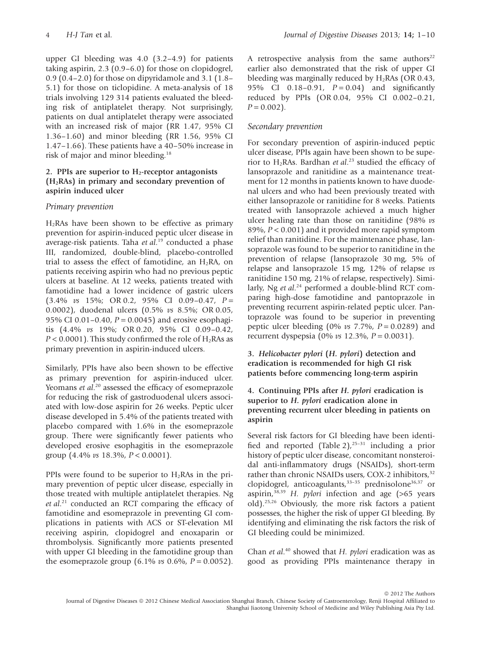upper GI bleeding was 4.0 (3.2–4.9) for patients taking aspirin, 2.3 (0.9–6.0) for those on clopidogrel, 0.9 (0.4–2.0) for those on dipyridamole and 3.1 (1.8– 5.1) for those on ticlopidine. A meta-analysis of 18 trials involving 129 314 patients evaluated the bleeding risk of antiplatelet therapy. Not surprisingly, patients on dual antiplatelet therapy were associated with an increased risk of major (RR 1.47, 95% CI 1.36–1.60) and minor bleeding (RR 1.56, 95% CI 1.47–1.66). These patients have a 40–50% increase in risk of major and minor bleeding.18

### **2. PPIs are superior to H2-receptor antagonists (H2RAs) in primary and secondary prevention of aspirin induced ulcer**

## *Primary prevention*

H2RAs have been shown to be effective as primary prevention for aspirin-induced peptic ulcer disease in average-risk patients. Taha *et al*. <sup>19</sup> conducted a phase III, randomized, double-blind, placebo-controlled trial to assess the effect of famotidine, an  $H_2RA$ , on patients receiving aspirin who had no previous peptic ulcers at baseline. At 12 weeks, patients treated with famotidine had a lower incidence of gastric ulcers (3.4% *vs* 15%; OR 0.2, 95% CI 0.09–0.47, *P* = 0.0002), duodenal ulcers (0.5% *vs* 8.5%; OR 0.05, 95% CI 0.01–0.40, *P* = 0.0045) and erosive esophagitis (4.4% *vs* 19%; OR 0.20, 95% CI 0.09–0.42,  $P < 0.0001$ ). This study confirmed the role of H<sub>2</sub>RAs as primary prevention in aspirin-induced ulcers.

Similarly, PPIs have also been shown to be effective as primary prevention for aspirin-induced ulcer. Yeomans *et al*. <sup>20</sup> assessed the efficacy of esomeprazole for reducing the risk of gastroduodenal ulcers associated with low-dose aspirin for 26 weeks. Peptic ulcer disease developed in 5.4% of the patients treated with placebo compared with 1.6% in the esomeprazole group. There were significantly fewer patients who developed erosive esophagitis in the esomeprazole group (4.4% *vs* 18.3%, *P* < 0.0001).

PPIs were found to be superior to  $H_2RAs$  in the primary prevention of peptic ulcer disease, especially in those treated with multiple antiplatelet therapies. Ng *et al*. <sup>21</sup> conducted an RCT comparing the efficacy of famotidine and esomeprazole in preventing GI complications in patients with ACS or ST-elevation MI receiving aspirin, clopidogrel and enoxaparin or thrombolysis. Significantly more patients presented with upper GI bleeding in the famotidine group than the esomeprazole group  $(6.1\% \text{ vs } 0.6\%, P = 0.0052)$ . A retrospective analysis from the same authors<sup>22</sup> earlier also demonstrated that the risk of upper GI bleeding was marginally reduced by  $H_2RAs$  (OR 0.43, 95% CI 0.18–0.91, *P* = 0.04) and significantly reduced by PPIs (OR 0.04, 95% CI 0.002–0.21,  $P = 0.002$ ).

# *Secondary prevention*

For secondary prevention of aspirin-induced peptic ulcer disease, PPIs again have been shown to be superior to H2RAs. Bardhan *et al*. <sup>23</sup> studied the efficacy of lansoprazole and ranitidine as a maintenance treatment for 12 months in patients known to have duodenal ulcers and who had been previously treated with either lansoprazole or ranitidine for 8 weeks. Patients treated with lansoprazole achieved a much higher ulcer healing rate than those on ranitidine (98% *vs* 89%, *P* < 0.001) and it provided more rapid symptom relief than ranitidine. For the maintenance phase, lansoprazole was found to be superior to ranitidine in the prevention of relapse (lansoprazole 30 mg, 5% of relapse and lansoprazole 15 mg, 12% of relapse *vs* ranitidine 150 mg, 21% of relapse, respectively). Similarly, Ng *et al*. <sup>24</sup> performed a double-blind RCT comparing high-dose famotidine and pantoprazole in preventing recurrent aspirin-related peptic ulcer. Pantoprazole was found to be superior in preventing peptic ulcer bleeding (0% *vs* 7.7%, *P* = 0.0289) and recurrent dyspepsia (0% *vs* 12.3%, *P* = 0.0031).

### **3.** *Helicobacter pylori* **(***H. pylori***) detection and eradication is recommended for high GI risk patients before commencing long-term aspirin**

### **4. Continuing PPIs after** *H. pylori* **eradication is superior to** *H. pylori* **eradication alone in preventing recurrent ulcer bleeding in patients on aspirin**

Several risk factors for GI bleeding have been identified and reported (Table 2), $25-31$  including a prior history of peptic ulcer disease, concomitant nonsteroidal anti-inflammatory drugs (NSAIDs), short-term rather than chronic NSAIDs users, COX-2 inhibitors,<sup>32</sup> clopidogrel, anticoagulants,<sup>33-35</sup> prednisolone<sup>36,37</sup> or aspirin, $38,39$  *H. pylori* infection and age (>65 years old).25,26 Obviously, the more risk factors a patient possesses, the higher the risk of upper GI bleeding. By identifying and eliminating the risk factors the risk of GI bleeding could be minimized.

Chan *et al*. <sup>40</sup> showed that *H. pylori* eradication was as good as providing PPIs maintenance therapy in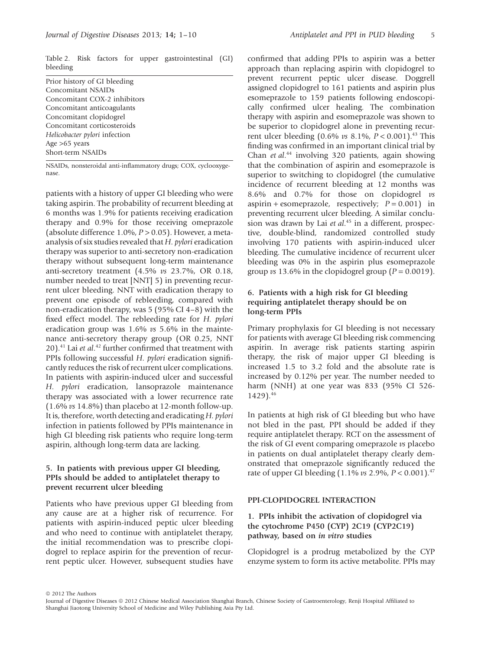Table 2. Risk factors for upper gastrointestinal (GI) bleeding

| Prior history of GI bleeding  |
|-------------------------------|
| Concomitant NSAIDs            |
| Concomitant COX-2 inhibitors  |
| Concomitant anticoagulants    |
| Concomitant clopidogrel       |
| Concomitant corticosteroids   |
| Helicobacter pylori infection |
| Age $>65$ years               |
| Short-term NSAIDs             |
|                               |

NSAIDs, nonsteroidal anti-inflammatory drugs; COX, cyclooxygenase.

patients with a history of upper GI bleeding who were taking aspirin. The probability of recurrent bleeding at 6 months was 1.9% for patients receiving eradication therapy and 0.9% for those receiving omeprazole (absolute difference 1.0%, *P* > 0.05). However, a metaanalysis of six studies revealed that *H. pylori* eradication therapy was superior to anti-secretory non-eradication therapy without subsequent long-term maintenance anti-secretory treatment (4.5% *vs* 23.7%, OR 0.18, number needed to treat [NNT] 5) in preventing recurrent ulcer bleeding. NNT with eradication therapy to prevent one episode of rebleeding, compared with non-eradication therapy, was 5 (95% CI 4–8) with the fixed effect model. The rebleeding rate for *H. pylori* eradication group was 1.6% *vs* 5.6% in the maintenance anti-secretory therapy group (OR 0.25, NNT 20).41 Lai *et al*. <sup>42</sup> further confirmed that treatment with PPIs following successful *H. pylori* eradication significantly reduces the risk of recurrent ulcer complications. In patients with aspirin-induced ulcer and successful *H. pylori* eradication, lansoprazole maintenance therapy was associated with a lower recurrence rate (1.6% *vs* 14.8%) than placebo at 12-month follow-up. It is, therefore, worth detecting and eradicating *H. pylori* infection in patients followed by PPIs maintenance in high GI bleeding risk patients who require long-term aspirin, although long-term data are lacking.

### **5. In patients with previous upper GI bleeding, PPIs should be added to antiplatelet therapy to prevent recurrent ulcer bleeding**

Patients who have previous upper GI bleeding from any cause are at a higher risk of recurrence. For patients with aspirin-induced peptic ulcer bleeding and who need to continue with antiplatelet therapy, the initial recommendation was to prescribe clopidogrel to replace aspirin for the prevention of recurrent peptic ulcer. However, subsequent studies have

confirmed that adding PPIs to aspirin was a better approach than replacing aspirin with clopidogrel to prevent recurrent peptic ulcer disease. Doggrell assigned clopidogrel to 161 patients and aspirin plus esomeprazole to 159 patients following endoscopically confirmed ulcer healing. The combination therapy with aspirin and esomeprazole was shown to be superior to clopidogrel alone in preventing recurrent ulcer bleeding  $(0.6\% \text{ vs } 8.1\% \text{, } P < 0.001)$ .<sup>43</sup> This finding was confirmed in an important clinical trial by Chan *et al*. <sup>44</sup> involving 320 patients, again showing that the combination of aspirin and esomeprazole is superior to switching to clopidogrel (the cumulative incidence of recurrent bleeding at 12 months was 8.6% and 0.7% for those on clopidogrel *vs* aspirin + esomeprazole, respectively;  $P = 0.001$  in preventing recurrent ulcer bleeding. A similar conclusion was drawn by Lai *et al*. <sup>45</sup> in a different, prospective, double-blind, randomized controlled study involving 170 patients with aspirin-induced ulcer bleeding. The cumulative incidence of recurrent ulcer bleeding was 0% in the aspirin plus esomeprazole group  $\nu s$  13.6% in the clopidogrel group ( $P = 0.0019$ ).

### **6. Patients with a high risk for GI bleeding requiring antiplatelet therapy should be on long-term PPIs**

Primary prophylaxis for GI bleeding is not necessary for patients with average GI bleeding risk commencing aspirin. In average risk patients starting aspirin therapy, the risk of major upper GI bleeding is increased 1.5 to 3.2 fold and the absolute rate is increased by 0.12% per year. The number needed to harm (NNH) at one year was 833 (95% CI 526- 1429).46

In patients at high risk of GI bleeding but who have not bled in the past, PPI should be added if they require antiplatelet therapy. RCT on the assessment of the risk of GI event comparing omeprazole *vs* placebo in patients on dual antiplatelet therapy clearly demonstrated that omeprazole significantly reduced the rate of upper GI bleeding (1.1% *vs* 2.9%, *P* < 0.001).47

#### **PPI-CLOPIDOGREL INTERACTION**

### **1. PPIs inhibit the activation of clopidogrel via the cytochrome P450 (CYP) 2C19 (CYP2C19) pathway, based on** *in vitro* **studies**

Clopidogrel is a prodrug metabolized by the CYP enzyme system to form its active metabolite. PPIs may

© 2012 The Authors

Journal of Digestive Diseases © 2012 Chinese Medical Association Shanghai Branch, Chinese Society of Gastroenterology, Renji Hospital Affiliated to Shanghai Jiaotong University School of Medicine and Wiley Publishing Asia Pty Ltd.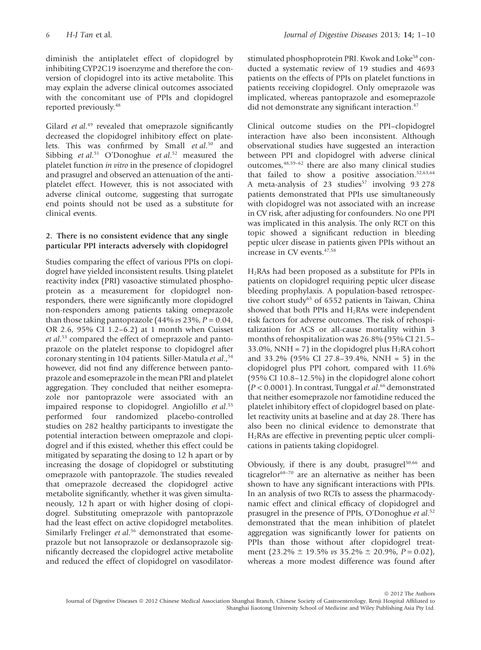diminish the antiplatelet effect of clopidogrel by inhibiting CYP2C19 isoenzyme and therefore the conversion of clopidogrel into its active metabolite. This may explain the adverse clinical outcomes associated with the concomitant use of PPIs and clopidogrel reported previously.48

Gilard *et al*. <sup>49</sup> revealed that omeprazole significantly decreased the clopidogrel inhibitory effect on platelets. This was confirmed by Small *et al*. <sup>50</sup> and Sibbing *et al*. <sup>51</sup> O'Donoghue *et al*. <sup>52</sup> measured the platelet function *in vitro* in the presence of clopidogrel and prasugrel and observed an attenuation of the antiplatelet effect. However, this is not associated with adverse clinical outcome, suggesting that surrogate end points should not be used as a substitute for clinical events.

### **2. There is no consistent evidence that any single particular PPI interacts adversely with clopidogrel**

Studies comparing the effect of various PPIs on clopidogrel have yielded inconsistent results. Using platelet reactivity index (PRI) vasoactive stimulated phosphoprotein as a measurement for clopidogrel nonresponders, there were significantly more clopidogrel non-responders among patients taking omeprazole than those taking pantoprazole  $(44\% vs 23\%, P = 0.04, P)$ OR 2.6, 95% CI 1.2–6.2) at 1 month when Cuisset *et al*. <sup>53</sup> compared the effect of omeprazole and pantoprazole on the platelet response to clopidogrel after coronary stenting in 104 patients. Siller-Matula *et al.*,<sup>54</sup> however, did not find any difference between pantoprazole and esomeprazole in the mean PRI and platelet aggregation. They concluded that neither esomeprazole nor pantoprazole were associated with an impaired response to clopidogrel. Angiolillo *et al*. 55 performed four randomized placebo-controlled studies on 282 healthy participants to investigate the potential interaction between omeprazole and clopidogrel and if this existed, whether this effect could be mitigated by separating the dosing to 12 h apart or by increasing the dosage of clopidogrel or substituting omeprazole with pantoprazole. The studies revealed that omeprazole decreased the clopidogrel active metabolite significantly, whether it was given simultaneously, 12 h apart or with higher dosing of clopidogrel. Substituting omeprazole with pantoprazole had the least effect on active clopidogrel metabolites. Similarly Frelinger *et al*. <sup>56</sup> demonstrated that esomeprazole but not lansoprazole or dexlansoprazole significantly decreased the clopidogrel active metabolite and reduced the effect of clopidogrel on vasodilatorstimulated phosphoprotein PRI. Kwok and Loke<sup>58</sup> conducted a systematic review of 19 studies and 4693 patients on the effects of PPIs on platelet functions in patients receiving clopidogrel. Only omeprazole was implicated, whereas pantoprazole and esomeprazole did not demonstrate any significant interaction.<sup>47</sup>

Clinical outcome studies on the PPI–clopidogrel interaction have also been inconsistent. Although observational studies have suggested an interaction between PPI and clopidogrel with adverse clinical outcomes,48,59–62 there are also many clinical studies that failed to show a positive association. $52,63,64$ A meta-analysis of 23 studies<sup>57</sup> involving 93 278 patients demonstrated that PPIs use simultaneously with clopidogrel was not associated with an increase in CV risk, after adjusting for confounders. No one PPI was implicated in this analysis. The only RCT on this topic showed a significant reduction in bleeding peptic ulcer disease in patients given PPIs without an increase in CV events.47,58

H2RAs had been proposed as a substitute for PPIs in patients on clopidogrel requiring peptic ulcer disease bleeding prophylaxis. A population-based retrospective cohort study<sup>65</sup> of 6552 patients in Taiwan, China showed that both PPIs and  $H_2RAs$  were independent risk factors for adverse outcomes. The risk of rehospitalization for ACS or all-cause mortality within 3 months of rehospitalization was 26.8% (95% CI 21.5– 33.0%, NNH = 7) in the clopidogrel plus  $H_2RA$  cohort and 33.2% (95% CI 27.8–39.4%, NNH = 5) in the clopidogrel plus PPI cohort, compared with 11.6% (95% CI 10.8–12.5%) in the clopidogrel alone cohort (*P* < 0.0001). In contrast, Tunggal *et al*. <sup>66</sup> demonstrated that neither esomeprazole nor famotidine reduced the platelet inhibitory effect of clopidogrel based on platelet reactivity units at baseline and at day 28. There has also been no clinical evidence to demonstrate that H2RAs are effective in preventing peptic ulcer complications in patients taking clopidogrel.

Obviously, if there is any doubt, prasugrel $50,66$  and ticagrelor<sup>68-70</sup> are an alternative as neither has been shown to have any significant interactions with PPIs. In an analysis of two RCTs to assess the pharmacodynamic effect and clinical efficacy of clopidogrel and prasugrel in the presence of PPIs, O'Donoghue *et al*. 52 demonstrated that the mean inhibition of platelet aggregation was significantly lower for patients on PPIs than those without after clopidogrel treatment (23.2% - 19.5% *vs* 35.2% - 20.9%, *P* = 0.02), whereas a more modest difference was found after

<sup>©</sup> 2012 The Authors Journal of Digestive Diseases © 2012 Chinese Medical Association Shanghai Branch, Chinese Society of Gastroenterology, Renji Hospital Affiliated to Shanghai Jiaotong University School of Medicine and Wiley Publishing Asia Pty Ltd.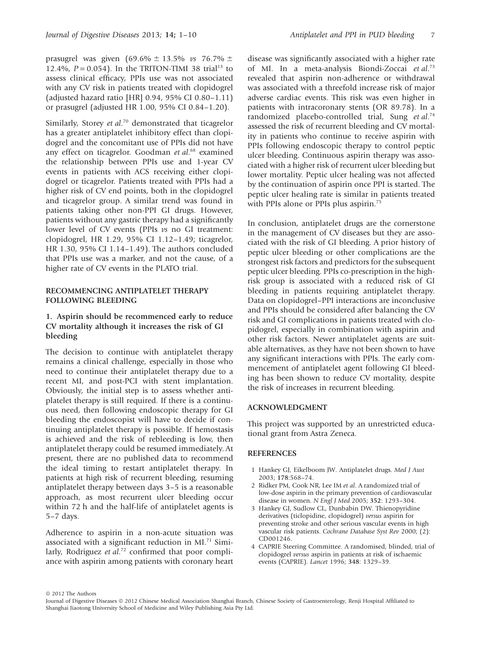prasugrel was given (69.6% - 13.5% *vs* 76.7% - 12.4%,  $P = 0.054$ ). In the TRITON-TIMI 38 trial<sup>13</sup> to assess clinical efficacy, PPIs use was not associated with any CV risk in patients treated with clopidogrel (adjusted hazard ratio [HR] 0.94, 95% CI 0.80–1.11) or prasugrel (adjusted HR 1.00, 95% CI 0.84–1.20).

Similarly, Storey *et al*. <sup>70</sup> demonstrated that ticagrelor has a greater antiplatelet inhibitory effect than clopidogrel and the concomitant use of PPIs did not have any effect on ticagrelor. Goodman *et al*. <sup>68</sup> examined the relationship between PPIs use and 1-year CV events in patients with ACS receiving either clopidogrel or ticagrelor. Patients treated with PPIs had a higher risk of CV end points, both in the clopidogrel and ticagrelor group. A similar trend was found in patients taking other non-PPI GI drugs. However, patients without any gastric therapy had a significantly lower level of CV events (PPIs *vs* no GI treatment: clopidogrel, HR 1.29, 95% CI 1.12–1.49; ticagrelor, HR 1.30, 95% CI 1.14–1.49). The authors concluded that PPIs use was a marker, and not the cause, of a higher rate of CV events in the PLATO trial.

#### **RECOMMENCING ANTIPLATELET THERAPY FOLLOWING BLEEDING**

### **1. Aspirin should be recommenced early to reduce CV mortality although it increases the risk of GI bleeding**

The decision to continue with antiplatelet therapy remains a clinical challenge, especially in those who need to continue their antiplatelet therapy due to a recent MI, and post-PCI with stent implantation. Obviously, the initial step is to assess whether antiplatelet therapy is still required. If there is a continuous need, then following endoscopic therapy for GI bleeding the endoscopist will have to decide if continuing antiplatelet therapy is possible. If hemostasis is achieved and the risk of rebleeding is low, then antiplatelet therapy could be resumed immediately. At present, there are no published data to recommend the ideal timing to restart antiplatelet therapy. In patients at high risk of recurrent bleeding, resuming antiplatelet therapy between days 3–5 is a reasonable approach, as most recurrent ulcer bleeding occur within 72 h and the half-life of antiplatelet agents is 5–7 days.

Adherence to aspirin in a non-acute situation was associated with a significant reduction in MI.71 Similarly, Rodriguez *et al*. <sup>72</sup> confirmed that poor compliance with aspirin among patients with coronary heart disease was significantly associated with a higher rate of MI. In a meta-analysis Biondi-Zoccai *et al*. 73 revealed that aspirin non-adherence or withdrawal was associated with a threefold increase risk of major adverse cardiac events. This risk was even higher in patients with intracoronary stents (OR 89.78). In a randomized placebo-controlled trial, Sung *et al*. 74 assessed the risk of recurrent bleeding and CV mortality in patients who continue to receive aspirin with PPIs following endoscopic therapy to control peptic ulcer bleeding. Continuous aspirin therapy was associated with a higher risk of recurrent ulcer bleeding but lower mortality. Peptic ulcer healing was not affected by the continuation of aspirin once PPI is started. The peptic ulcer healing rate is similar in patients treated with PPIs alone or PPIs plus aspirin.<sup>75</sup>

In conclusion, antiplatelet drugs are the cornerstone in the management of CV diseases but they are associated with the risk of GI bleeding. A prior history of peptic ulcer bleeding or other complications are the strongest risk factors and predictors for the subsequent peptic ulcer bleeding. PPIs co-prescription in the highrisk group is associated with a reduced risk of GI bleeding in patients requiring antiplatelet therapy. Data on clopidogrel–PPI interactions are inconclusive and PPIs should be considered after balancing the CV risk and GI complications in patients treated with clopidogrel, especially in combination with aspirin and other risk factors. Newer antiplatelet agents are suitable alternatives, as they have not been shown to have any significant interactions with PPIs. The early commencement of antiplatelet agent following GI bleeding has been shown to reduce CV mortality, despite the risk of increases in recurrent bleeding.

#### **ACKNOWLEDGMENT**

This project was supported by an unrestricted educational grant from Astra Zeneca.

#### **REFERENCES**

- 1 Hankey GJ, Eikelboom JW. Antiplatelet drugs. *Med J Aust* 2003; **178**:568–74.
- 2 Ridker PM, Cook NR, Lee IM *et al*. A randomized trial of low-dose aspirin in the primary prevention of cardiovascular disease in women. *N Engl J Med* 2005; **352**: 1293–304.
- 3 Hankey GJ, Sudlow CL, Dunbabin DW. Thienopyridine derivatives (ticlopidine, clopidogrel) *versus* aspirin for preventing stroke and other serious vascular events in high vascular risk patients. *Cochrane Database Syst Rev* 2000; (2): CD001246.
- 4 CAPRIE Steering Committee. A randomised, blinded, trial of clopidogrel *versus* aspirin in patients at risk of ischaemic events (CAPRIE). *Lancet* 1996; **348**: 1329–39.

<sup>©</sup> 2012 The Authors

Journal of Digestive Diseases © 2012 Chinese Medical Association Shanghai Branch, Chinese Society of Gastroenterology, Renji Hospital Affiliated to Shanghai Jiaotong University School of Medicine and Wiley Publishing Asia Pty Ltd.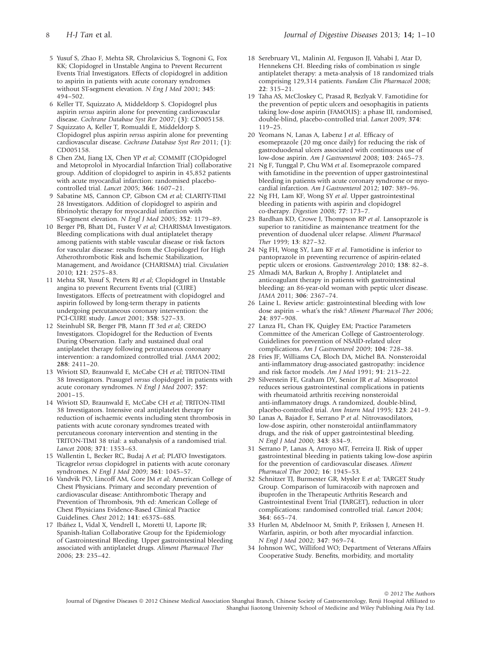- 5 Yusuf S, Zhao F, Mehta SR, Chrolavicius S, Tognoni G, Fox KK; Clopidogrel in Unstable Angina to Prevent Recurrent Events Trial Investigators. Effects of clopidogrel in addition to aspirin in patients with acute coronary syndromes without ST-segment elevation. *N Eng J Med* 2001; **345**: 494–502.
- 6 Keller TT, Squizzato A, Middeldorp S. Clopidogrel plus aspirin *versus* aspirin alone for preventing cardiovascular disease. *Cochrane Database Syst Rev* 2007; (**3**): CD005158.
- 7 Squizzato A, Keller T, Romualdi E, Middeldorp S. Clopidogrel plus aspirin *versus* aspirin alone for preventing cardiovascular disease. *Cochrane Database Syst Rev* 2011; (1): CD005158.
- 8 Chen ZM, Jiang LX, Chen YP *et al*; COMMIT (ClOpidogrel and Metoprolol in Myocardial Infarction Trial) collaborative group. Addition of clopidogrel to aspirin in 45,852 patients with acute myocardial infarction: randomised placebocontrolled trial. *Lancet* 2005; **366**: 1607–21.
- 9 Sabatine MS, Cannon CP, Gibson CM *et al*; CLARITY-TIMI 28 Investigators. Addition of clopidogrel to aspirin and fibrinolytic therapy for myocardial infarction with ST-segment elevation. *N Engl J Med* 2005; **352**: 1179–89.
- 10 Berger PB, Bhatt DL, Fuster V *et al*; CHARISMA Investigators. Bleeding complications with dual antiplatelet therapy among patients with stable vascular disease or risk factors for vascular disease: results from the Clopidogrel for High Atherothrombotic Risk and Ischemic Stabilization, Management, and Avoidance (CHARISMA) trial. *Circulation* 2010; **121**: 2575–83.
- 11 Mehta SR, Yusuf S, Peters RJ *et al*; Clopidogrel in Unstable angina to prevent Recurrent Events trial (CURE) Investigators. Effects of pretreatment with clopidogrel and aspirin followed by long-term therapy in patients undergoing percutaneous coronary intervention: the PCI-CURE study. *Lancet* 2001; **358**: 527–33.
- 12 Steinhubl SR, Berger PB, Mann JT 3rd *et al*; CREDO Investigators. Clopidogrel for the Reduction of Events During Observation. Early and sustained dual oral antiplatelet therapy following percutaneous coronary intervention: a randomized controlled trial. *JAMA* 2002; **288**: 2411–20.
- 13 Wiviott SD, Braunwald E, McCabe CH *et al*; TRITON-TIMI 38 Investigators. Prasugrel *versus* clopidogrel in patients with acute coronary syndromes. *N Engl J Med* 2007; **357**: 2001–15.
- 14 Wiviott SD, Braunwald E, McCabe CH *et al*; TRITON-TIMI 38 Investigators. Intensive oral antiplatelet therapy for reduction of ischaemic events including stent thrombosis in patients with acute coronary syndromes treated with percutaneous coronary intervention and stenting in the TRITON-TIMI 38 trial: a subanalysis of a randomised trial. *Lancet* 2008; **371**: 1353–63.
- 15 Wallentin L, Becker RC, Budaj A *et al*; PLATO Investigators. Ticagrelor *versus* clopidogrel in patients with acute coronary syndromes. *N Engl J Med* 2009; **361**: 1045–57.
- 16 Vandvik PO, Lincoff AM, Gore JM *et al*; American College of Chest Physicians. Primary and secondary prevention of cardiovascular disease: Antithrombotic Therapy and Prevention of Thrombosis, 9th ed: American College of Chest Physicians Evidence-Based Clinical Practice Guidelines. *Chest* 2012; **141**: e637S–68S.
- 17 Ibáñez L, Vidal X, Vendrell L, Moretti U, Laporte JR; Spanish-Italian Collaborative Group for the Epidemiology of Gastrointestinal Bleeding. Upper gastrointestinal bleeding associated with antiplatelet drugs. *Aliment Pharmacol Ther* 2006; **23**: 235–42.
- 18 Serebruary VL, Malinin AI, Ferguson JJ, Vahabi J, Atar D, Hennekens CH. Bleeding risks of combination *vs* single antiplatelet therapy: a meta-analysis of 18 randomized trials comprising 129,314 patients. *Fundam Clin Pharmacol* 2008; **22**: 315–21.
- 19 Taha AS, McCloskey C, Prasad R, Bezlyak V. Famotidine for the prevention of peptic ulcers and oesophagitis in patients taking low-dose aspirin (FAMOUS): a phase III, randomised, double-blind, placebo-controlled trial. *Lancet* 2009; **374**: 119–25.
- 20 Yeomans N, Lanas A, Labenz J *et al*. Efficacy of esomeprazole (20 mg once daily) for reducing the risk of gastroduodenal ulcers associated with continuous use of low-dose aspirin. *Am J Gastroenterol* 2008; **103**: 2465–73.
- 21 Ng F, Tunggal P, Chu WM *et al*. Esomeprazole compared with famotidine in the prevention of upper gastrointestinal bleeding in patients with acute coronary syndrome or myocardial infarction. *Am J Gastroenterol* 2012; **107**: 389–96.
- 22 Ng FH, Lam KF, Wong SY *et al*. Upper gastrointestinal bleeding in patients with aspirin and clopidogrel co-therapy. *Digestion* 2008; **77**: 173–7.
- 23 Bardhan KD, Crowe J, Thompson RP *et al*. Lansoprazole is superior to ranitidine as maintenance treatment for the prevention of duodenal ulcer relapse. *Aliment Pharmacol Ther* 1999; **13**: 827–32.
- 24 Ng FH, Wong SY, Lam KF *et al*. Famotidine is inferior to pantoprazole in preventing recurrence of aspirin-related peptic ulcers or erosions. *Gastroenterology* 2010; **138**: 82–8.
- 25 Almadi MA, Barkun A, Brophy J. Antiplatelet and anticoagulant therapy in patients with gastrointestinal bleeding: an 86-year-old woman with peptic ulcer disease. *JAMA* 2011; **306**: 2367–74.
- 26 Laine L. Review article: gastrointestinal bleeding with low dose aspirin – what's the risk? *Aliment Pharmacol Ther* 2006; **24**: 897–908.
- 27 Lanza FL, Chan FK, Quigley EM; Practice Parameters Committee of the American College of Gastroenterology. Guidelines for prevention of NSAID-related ulcer complications. *Am J Gastroenterol* 2009; **104**: 728–38.
- 28 Fries JF, Williams CA, Bloch DA, Michel BA. Nonsteroidal anti-inflammatory drug-associated gastropathy: incidence and risk factor models. *Am J Med* 1991; **91**: 213–22.
- 29 Silverstein FE, Graham DY, Senior JR *et al*. Misoprostol reduces serious gastrointestinal complications in patients with rheumatoid arthritis receiving nonsteroidal anti-inflammatory drugs. A randomized, double-blind, placebo-controlled trial. *Ann Intern Med* 1995; **123**: 241–9.
- 30 Lanas A, Bajador E, Serrano P *et al*. Nitrovasodilators, low-dose aspirin, other nonsteroidal antiinflammatory drugs, and the risk of upper gastrointestinal bleeding. *N Engl J Med* 2000; **343**: 834–9.
- 31 Serrano P, Lanas A, Arroyo MT, Ferreira IJ. Risk of upper gastrointestinal bleeding in patients taking low-dose aspirin for the prevention of cardiovascular diseases. *Aliment Pharmacol Ther* 2002; **16**: 1945–53.
- 32 Schnitzer TJ, Burmester GR, Mysler E *et al*; TARGET Study Group. Comparison of lumiracoxib with naproxen and ibuprofen in the Therapeutic Arthritis Research and Gastrointestinal Event Trial (TARGET), reduction in ulcer complications: randomised controlled trial. *Lancet* 2004; **364**: 665–74.
- 33 Hurlen M, Abdelnoor M, Smith P, Erikssen J, Arnesen H. Warfarin, aspirin, or both after myocardial infarction. *N Engl J Med* 2002; **347**: 969–74.
- 34 Johnson WC, Williford WO; Department of Veterans Affairs Cooperative Study. Benefits, morbidity, and mortality

#### © 2012 The Authors

Journal of Digestive Diseases © 2012 Chinese Medical Association Shanghai Branch, Chinese Society of Gastroenterology, Renji Hospital Affiliated to Shanghai Jiaotong University School of Medicine and Wiley Publishing Asia Pty Ltd.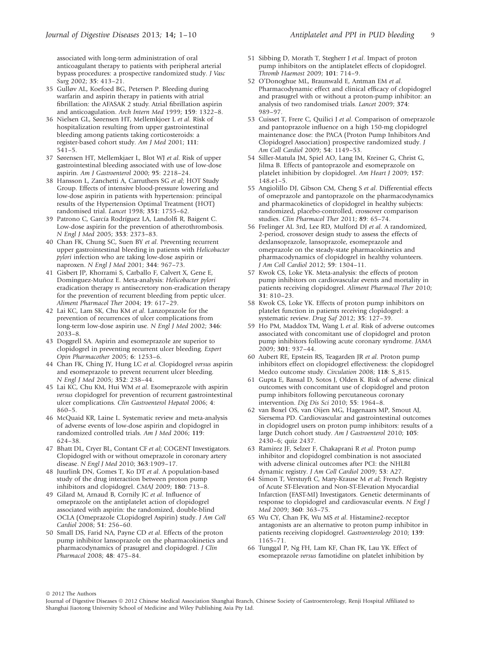associated with long-term administration of oral anticoagulant therapy to patients with peripheral arterial bypass procedures: a prospective randomized study. *J Vasc Surg* 2002; **35**: 413–21.

- 35 Gulløv AL, Koefoed BG, Petersen P. Bleeding during warfarin and aspirin therapy in patients with atrial fibrillation: the AFASAK 2 study. Atrial fibrillation aspirin and anticoagulation. *Arch Intern Med* 1999; **159**: 1322–8.
- 36 Nielsen GL, Sørensen HT, Mellemkjoer L *et al*. Risk of hospitalization resulting from upper gastrointestinal bleeding among patients taking corticosteroids: a register-based cohort study. *Am J Med* 2001; **111**: 541–5.
- 37 Sørensen HT, Mellemkjaer L, Blot WJ *et al*. Risk of upper gastrointestinal bleeding associated with use of low-dose aspirin. *Am J Gastroenterol* 2000; **95**: 2218–24.
- 38 Hansson L, Zanchetti A, Carruthers SG *et al*; HOT Study Group. Effects of intensive blood-pressure lowering and low-dose aspirin in patients with hypertension: principal results of the Hypertension Optimal Treatment (HOT) randomised trial. *Lancet* 1998; **351**: 1755–62.
- 39 Patrono C, García Rodríguez LA, Landolfi R, Baigent C. Low-dose aspirin for the prevention of atherothrombosis. *N Engl J Med* 2005; **353**: 2373–83.
- 40 Chan FK, Chung SC, Suen BY *et al*. Preventing recurrent upper gastrointestinal bleeding in patients with *Helicobacter pylori* infection who are taking low-dose aspirin or naproxen. *N Engl J Med* 2001; **344**: 967–73.
- 41 Gisbert JP, Khorrami S, Carballo F, Calvert X, Gene E, Dominguez-Muñoz E. Meta-analysis: *Helicobacter pylori* eradication therapy *vs* antisecretory non-eradication therapy for the prevention of recurrent bleeding from peptic ulcer. *Aliment Pharmacol Ther* 2004; **19**: 617–29.
- 42 Lai KC, Lam SK, Chu KM *et al*. Lanzoprazole for the prevention of recurrences of ulcer complications from long-term low-dose aspirin use. *N Engl J Med* 2002; **346**: 2033–8.
- 43 Doggrell SA. Aspirin and esomeprazole are superior to clopidogrel in preventing recurrent ulcer bleeding. *Expert Opin Pharmacother* 2005; **6**: 1253–6.
- 44 Chan FK, Ching JY, Hung LC *et al*. Clopidogrel *versus* aspirin and esomeprazole to prevent recurrent ulcer bleeding. *N Engl J Med* 2005; **352**: 238–44.
- 45 Lai KC, Chu KM, Hui WM *et al*. Esomeprazole with aspirin *versus* clopidogrel for prevention of recurrent gastrointestinal ulcer complications. *Clin Gastroenterol Hepatol* 2006; **4**: 860–5.
- 46 McQuaid KR, Laine L. Systematic review and meta-analysis of adverse events of low-dose aspirin and clopidogrel in randomized controlled trials. *Am J Med* 2006; **119**: 624–38.
- 47 Bhatt DL, Cryer BL, Contant CF *et al*; COGENT Investigators. Clopidogrel with or without omeprazole in coronary artery disease. *N Engl J Med* 2010; **363**:1909–17.
- 48 Juurlink DN, Gomes T, Ko DT *et al*. A population-based study of the drug interaction between proton pump inhibitors and clopidogrel. *CMAJ* 2009; **180**: 713–8.
- 49 Gilard M, Arnaud B, Cornily JC *et al*. Influence of omeprazole on the antiplatelet action of clopidogrel associated with aspirin: the randomized, double-blind OCLA (Omeprazole CLopidogrel Aspirin) study. *J Am Coll Cardiol* 2008; **51**: 256–60.
- 50 Small DS, Farid NA, Payne CD *et al*. Effects of the proton pump inhibitor lansoprazole on the pharmacokinetics and pharmacodynamics of prasugrel and clopidogrel. *J Clin Pharmacol* 2008; **48**: 475–84.
- 51 Sibbing D, Morath T, Stegherr J *et al*. Impact of proton pump inhibitors on the antiplatelet effects of clopidogrel. *Thromb Haemost* 2009; **101**: 714–9.
- 52 O'Donoghue ML, Braunwald E, Antman EM *et al*. Pharmacodynamic effect and clinical efficacy of clopidogrel and prasugrel with or without a proton-pump inhibitor: an analysis of two randomised trials. *Lancet* 2009; **374**: 989–97.
- 53 Cuisset T, Frere C, Quilici J *et al*. Comparison of omeprazole and pantoprazole influence on a high 150-mg clopidogrel maintenance dose: the PACA (Proton Pump Inhibitors And Clopidogrel Association) prospective randomized study. *J Am Coll Cardiol* 2009; **54**: 1149–53.
- 54 Siller-Matula JM, Spiel AO, Lang IM, Kreiner G, Christ G, Jilma B. Effects of pantoprazole and esomeprazole on platelet inhibition by clopidogrel. *Am Heart J* 2009; **157**:  $148.61 - 5$
- 55 Angiolillo DJ, Gibson CM, Cheng S *et al*. Differential effects of omeprazole and pantoprazole on the pharmacodynamics and pharmacokinetics of clopidogrel in healthy subjects: randomized, placebo-controlled, crossover comparison studies. *Clin Pharmacol Ther* 2011; **89**: 65–74.
- 56 Frelinger AL 3rd, Lee RD, Mulford DJ *et al*. A randomized, 2-period, crossover design study to assess the effects of dexlansoprazole, lansoprazole, esomeprazole and omeprazole on the steady-state pharmacokinetics and pharmacodynamics of clopidogrel in healthy volunteers. *J Am Coll Cardiol* 2012; **59**: 1304–11.
- 57 Kwok CS, Loke YK. Meta-analysis: the effects of proton pump inhibitors on cardiovascular events and mortality in patients receiving clopidogrel. *Aliment Pharmacol Ther* 2010; **31**: 810–23.
- 58 Kwok CS, Loke YK. Effects of proton pump inhibitors on platelet function in patients receiving clopidogrel: a systematic review. *Drug Saf* 2012; **35**: 127–39.
- 59 Ho PM, Maddox TM, Wang L *et al*. Risk of adverse outcomes associated with concomitant use of clopidogrel and proton pump inhibitors following acute coronary syndrome. *JAMA* 2009; **301**: 937–44.
- 60 Aubert RE, Epstein RS, Teagarden JR *et al*. Proton pump inhibitors effect on clopidogrel effectiveness: the clopidogrel Medco outcome study. *Circulation* 2008; **118**: S\_815.
- 61 Gupta E, Bansal D, Sotos J, Olden K. Risk of adverse clinical outcomes with concomitant use of clopidogrel and proton pump inhibitors following percutaneous coronary intervention. *Dig Dis Sci* 2010; **55**: 1964–8.
- 62 van Boxel OS, van Oijen MG, Hagenaars MP, Smout AJ, Siersema PD. Cardiovascular and gastrointestinal outcomes in clopidogrel users on proton pump inhibitors: results of a large Dutch cohort study. *Am J Gastroenterol* 2010; **105**: 2430–6; quiz 2437.
- 63 Ramirez JF, Selzer F, Chakaprani R *et al*. Proton pump inhibitor and clopidogrel combination is not associated with adverse clinical outcomes after PCI: the NHLBI dynamic registry. *J Am Coll Cardiol* 2009; **53**: A27.
- 64 Simon T, Verstuyft C, Mary-Krause M *et al*; French Registry of Acute ST-Elevation and Non-ST-Elevation Myocardial Infarction (FAST-MI) Investigators. Genetic determinants of response to clopidogrel and cardiovascular events. *N Engl J Med* 2009; **360**: 363–75.
- 65 Wu CY, Chan FK, Wu MS *et al*. Histamine2-receptor antagonists are an alternative to proton pump inhibitor in patients receiving clopidogrel. *Gastroenterology* 2010; **139**: 1165–71.
- 66 Tunggal P, Ng FH, Lam KF, Chan FK, Lau YK. Effect of esomeprazole *versus* famotidine on platelet inhibition by

© 2012 The Authors

Journal of Digestive Diseases © 2012 Chinese Medical Association Shanghai Branch, Chinese Society of Gastroenterology, Renji Hospital Affiliated to Shanghai Jiaotong University School of Medicine and Wiley Publishing Asia Pty Ltd.